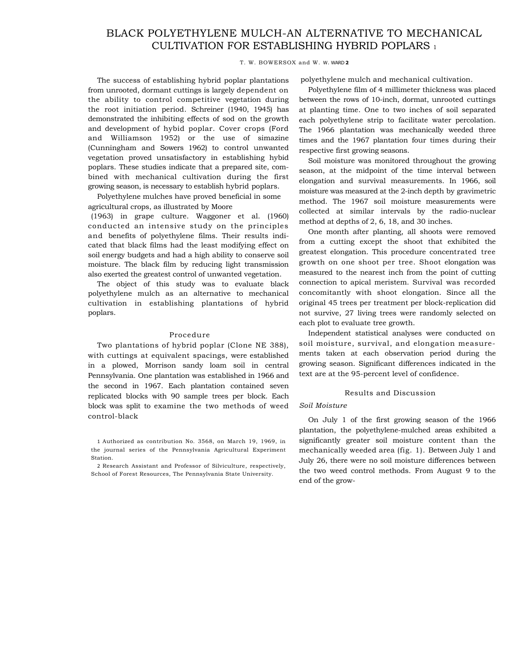# BLACK POLYETHYLENE MULCH-AN ALTERNATIVE TO MECHANICAL CULTIVATION FOR ESTABLISHING HYBRID POPLARS 1

#### T. W. BOWERSOX and W. W. WARD **2**

The success of establishing hybrid poplar plantations from unrooted, dormant cuttings is largely dependent on the ability to control competitive vegetation during the root initiation period. Schreiner (1940, 1945) has demonstrated the inhibiting effects of sod on the growth and development of hybid poplar. Cover crops (Ford and Williamson 1952) or the use of simazine (Cunningham and Sowers 1962) to control unwanted vegetation proved unsatisfactory in establishing hybid poplars. These studies indicate that a prepared site, combined with mechanical cultivation during the first growing season, is necessary to establish hybrid poplars.

Polyethylene mulches have proved beneficial in some agricultural crops, as illustrated by Moore

(1963) in grape culture. Waggoner et al. (1960) conducted an intensive study on the principles and benefits of polyethylene films. Their results indicated that black films had the least modifying effect on soil energy budgets and had a high ability to conserve soil moisture. The black film by reducing light transmission also exerted the greatest control of unwanted vegetation.

The object of this study was to evaluate black polyethylene mulch as an alternative to mechanical cultivation in establishing plantations of hybrid poplars.

### Procedure

Two plantations of hybrid poplar (Clone NE 388), with cuttings at equivalent spacings, were established in a plowed, Morrison sandy loam soil in central Pennsylvania. One plantation was established in 1966 and the second in 1967. Each plantation contained seven replicated blocks with 90 sample trees per block. Each block was split to examine the two methods of weed control-black

1 Authorized as contribution No. 3568, on March 19, 1969, in the journal series of the Pennsylvania Agricultural Experiment Station.

2 Research Assistant and Professor of Silviculture, respectively, School of Forest Resources, The Pennsylvania State University.

polyethylene mulch and mechanical cultivation.

Polyethylene film of 4 millimeter thickness was placed between the rows of 10-inch, dormat, unrooted cuttings at planting time. One to two inches of soil separated each polyethylene strip to facilitate water percolation. The 1966 plantation was mechanically weeded three times and the 1967 plantation four times during their respective first growing seasons.

Soil moisture was monitored throughout the growing season, at the midpoint of the time interval between elongation and survival measurements. In 1966, soil moisture was measured at the 2-inch depth by gravimetric method. The 1967 soil moisture measurements were collected at similar intervals by the radio-nuclear method at depths of 2, 6, 18, and 30 inches.

One month after planting, all shoots were removed from a cutting except the shoot that exhibited the greatest elongation. This procedure concentrated tree growth on one shoot per tree. Shoot elongation was measured to the nearest inch from the point of cutting connection to apical meristem. Survival was recorded concomitantly with shoot elongation. Since all the original 45 trees per treatment per block-replication did not survive, 27 living trees were randomly selected on each plot to evaluate tree growth.

Independent statistical analyses were conducted on soil moisture, survival, and elongation measurements taken at each observation period during the growing season. Significant differences indicated in the text are at the 95-percent level of confidence.

#### Results and Discussion

#### *Soil Moisture*

On July 1 of the first growing season of the 1966 plantation, the polyethylene-mulched areas exhibited a significantly greater soil moisture content than the mechanically weeded area (fig. 1). Between July 1 and July 26, there were no soil moisture differences between the two weed control methods. From August 9 to the end of the grow-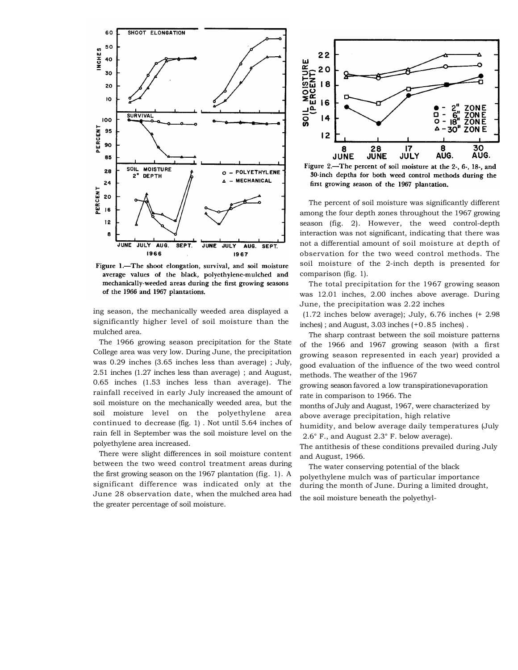

Figure 1.-The shoot elongation, survival, and soil moisture average values of the black, polyethylene-mulched and mechanically-weeded areas during the first growing seasons of the 1966 and 1967 plantations.

ing season, the mechanically weeded area displayed a significantly higher level of soil moisture than the mulched area.

The 1966 growing season precipitation for the State College area was very low. During June, the precipitation was 0.29 inches (3.65 inches less than average) ; July, 2.51 inches (1.27 inches less than average) ; and August, 0.65 inches (1.53 inches less than average). The rainfall received in early July increased the amount of soil moisture on the mechanically weeded area, but the soil moisture level on the polyethylene area continued to decrease (fig. 1) . Not until 5.64 inches of rain fell in September was the soil moisture level on the polyethylene area increased.

There were slight differences in soil moisture content between the two weed control treatment areas during the first growing season on the 1967 plantation (fig. 1). A significant difference was indicated only at the June 28 observation date, when the mulched area had the greater percentage of soil moisture.



Figure 2.-The percent of soil moisture at the 2-, 6-, 18-, and 30-inch depths for both weed control methods during the first growing season of the 1967 plantation.

The percent of soil moisture was significantly different among the four depth zones throughout the 1967 growing season (fig. 2). However, the weed control-depth interaction was not significant, indicating that there was not a differential amount of soil moisture at depth of observation for the two weed control methods. The soil moisture of the 2-inch depth is presented for comparison (fig. 1).

The total precipitation for the 1967 growing season was 12.01 inches, 2.00 inches above average. During June, the precipitation was 2.22 inches

(1.72 inches below average); July, 6.76 inches (+ 2.98 inches) ; and August, 3.03 inches (+0.85 inches) .

The sharp contrast between the soil moisture patterns of the 1966 and 1967 growing season (with a first growing season represented in each year) provided a good evaluation of the influence of the two weed control methods. The weather of the 1967

growing season favored a low transpirationevaporation rate in comparison to 1966. The

months of July and August, 1967, were characterized by above average precipitation, high relative

humidity, and below average daily temperatures (July 2.6° F., and August 2.3° F. below average).

The antithesis of these conditions prevailed during July and August, 1966.

The water conserving potential of the black polyethylene mulch was of particular importance during the month of June. During a limited drought,

the soil moisture beneath the polyethyl-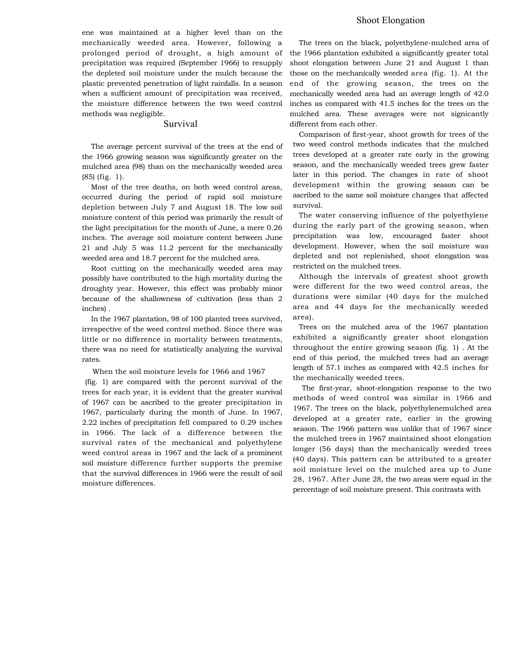ene was maintained at a higher level than on the mechanically weeded area. However, following a prolonged period of drought, a high amount of precipitation was required (September 1966) to resupply the depleted soil moisture under the mulch because the plastic prevented penetration of light rainfalls. In a season when a sufficient amount of precipitation was received, the moisture difference between the two weed control methods was negligible.

## Survival

The average percent survival of the trees at the end of the 1966 growing season was significantly greater on the mulched area (98) than on the mechanically weeded area (85) (fig. 1).

Most of the tree deaths, on both weed control areas, occurred during the period of rapid soil moisture depletion between July 7 and August 18. The low soil moisture content of this period was primarily the result of the light precipitation for the month of June, a mere 0.26 inches. The average soil moisture content between June 21 and July 5 was 11.2 percent for the mechanically weeded area and 18.7 percent for the mulched area.

Root cutting on the mechanically weeded area may possibly have contributed to the high mortality during the droughty year. However, this effect was probably minor because of the shallowness of cultivation (less than 2 inches) .

In the 1967 plantation, 98 of 100 planted trees survived, irrespective of the weed control method. Since there was little or no difference in mortality between treatments, there was no need for statistically analyzing the survival rates.

When the soil moisture levels for 1966 and 1967

(fig. 1) are compared with the percent survival of the trees for each year, it is evident that the greater survival of 1967 can be ascribed to the greater precipitation in 1967, particularly during the month of June. In 1967, 2.22 inches of precipitation fell compared to 0.29 inches in 1966. The lack of a difference between the survival rates of the mechanical and polyethylene weed control areas in 1967 and the lack of a prominent soil moisture difference further supports the premise that the survival differences in 1966 were the result of soil moisture differences.

## Shoot Elongation

The trees on the black, polyethylene-mulched area of the 1966 plantation exhibited a significantly greater total shoot elongation between June 21 and August 1 than those on the mechanically weeded area (fig. 1). At the end of the growing season, the trees on the mechanically weeded area had an average length of 42.0 inches as compared with 41.5 inches for the trees on the mulched area. These averages were not signicantly different from each other.

Comparison of first-year, shoot growth for trees of the two weed control methods indicates that the mulched trees developed at a greater rate early in the growing season, and the mechanically weeded trees grew faster later in this period. The changes in rate of shoot development within the growing season can be ascribed to the same soil moisture changes that affected survival.

The water conserving influence of the polyethylene during the early part of the growing season, when precipitation was low, encouraged faster shoot development. However, when the soil moisture was depleted and not replenished, shoot elongation was restricted on the mulched trees.

Although the intervals of greatest shoot growth were different for the two weed control areas, the durations were similar (40 days for the mulched area and 44 days for the mechanically weeded area).

Trees on the mulched area of the 1967 plantation exhibited a significantly greater shoot elongation throughout the entire growing season (fig. 1) . At the end of this period, the mulched trees had an average length of 57.1 inches as compared with 42.5 inches for the mechanically weeded trees.

The first-year, shoot-elongation response to the two methods of weed control was similar in 1966 and 1967. The trees on the black, polyethylenemulched area developed at a greater rate, earlier in the growing season. The 1966 pattern was unlike that of 1967 since the mulched trees in 1967 maintained shoot elongation longer (56 days) than the mechanically weeded trees (40 days). This pattern can be attributed to a greater soil moisture level on the mulched area up to June 28, 1967. After June 28, the two areas were equal in the percentage of soil moisture present. This contrasts with